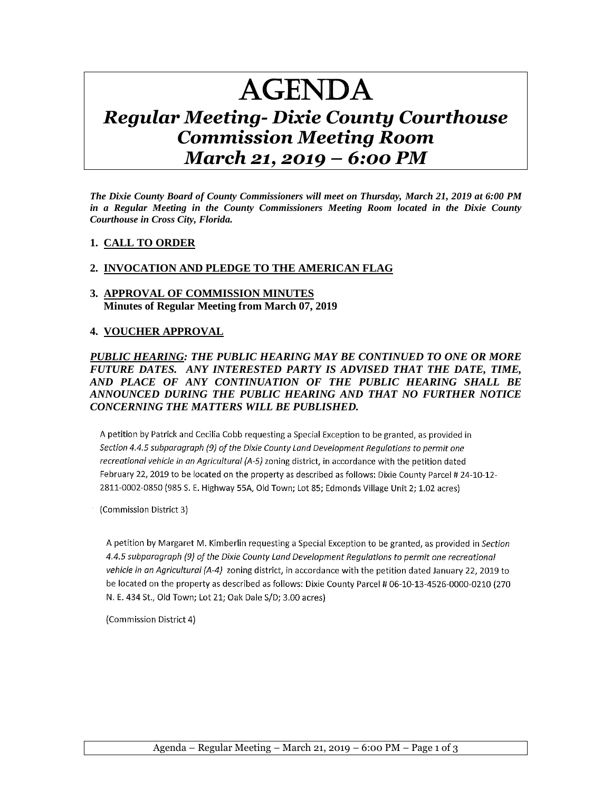# AGENDA

# *Regular Meeting- Dixie County Courthouse Commission Meeting Room March 21, 2019 – 6:00 PM*

*The Dixie County Board of County Commissioners will meet on Thursday, March 21, 2019 at 6:00 PM in a Regular Meeting in the County Commissioners Meeting Room located in the Dixie County Courthouse in Cross City, Florida.*

#### **1. CALL TO ORDER**

#### **2. INVOCATION AND PLEDGE TO THE AMERICAN FLAG**

#### **3. APPROVAL OF COMMISSION MINUTES Minutes of Regular Meeting from March 07, 2019**

#### **4. VOUCHER APPROVAL**

#### *PUBLIC HEARING: THE PUBLIC HEARING MAY BE CONTINUED TO ONE OR MORE FUTURE DATES. ANY INTERESTED PARTY IS ADVISED THAT THE DATE, TIME, AND PLACE OF ANY CONTINUATION OF THE PUBLIC HEARING SHALL BE ANNOUNCED DURING THE PUBLIC HEARING AND THAT NO FURTHER NOTICE CONCERNING THE MATTERS WILL BE PUBLISHED.*

A petition by Patrick and Cecilia Cobb requesting a Special Exception to be granted, as provided in Section 4.4.5 subparagraph (9) of the Dixie County Land Development Regulations to permit one recreational vehicle in an Agricultural (A-5) zoning district, in accordance with the petition dated February 22, 2019 to be located on the property as described as follows: Dixie County Parcel # 24-10-12-2811-0002-0850 (985 S. E. Highway 55A, Old Town; Lot 85; Edmonds Village Unit 2; 1.02 acres)

(Commission District 3)

A petition by Margaret M. Kimberlin requesting a Special Exception to be granted, as provided in Section 4.4.5 subparagraph (9) of the Dixie County Land Development Regulations to permit one recreational vehicle in an Agricultural (A-4) zoning district, in accordance with the petition dated January 22, 2019 to be located on the property as described as follows: Dixie County Parcel # 06-10-13-4526-0000-0210 (270 N. E. 434 St., Old Town; Lot 21; Oak Dale S/D; 3.00 acres)

(Commission District 4)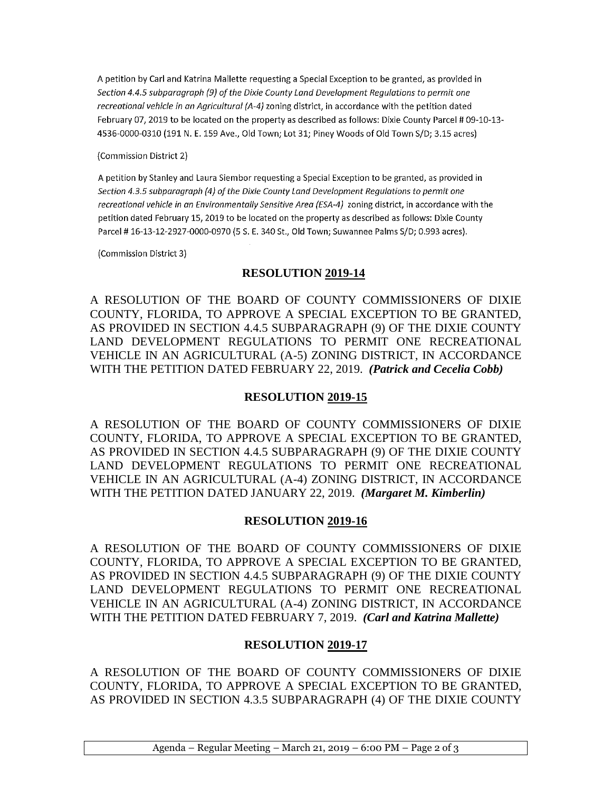A petition by Carl and Katrina Mallette requesting a Special Exception to be granted, as provided in Section 4.4.5 subparagraph (9) of the Dixie County Land Development Regulations to permit one recreational vehicle in an Agricultural (A-4) zoning district, in accordance with the petition dated February 07, 2019 to be located on the property as described as follows: Dixie County Parcel # 09-10-13-4536-0000-0310 (191 N. E. 159 Ave., Old Town; Lot 31; Piney Woods of Old Town S/D; 3.15 acres)

(Commission District 2)

A petition by Stanley and Laura Siembor requesting a Special Exception to be granted, as provided in Section 4.3.5 subparagraph (4) of the Dixie County Land Development Regulations to permit one recreational vehicle in an Environmentally Sensitive Area (ESA-4) zoning district, in accordance with the petition dated February 15, 2019 to be located on the property as described as follows: Dixie County Parcel #16-13-12-2927-0000-0970 (5 S. E. 340 St., Old Town; Suwannee Palms S/D; 0.993 acres).

(Commission District 3)

### **RESOLUTION 2019-14**

A RESOLUTION OF THE BOARD OF COUNTY COMMISSIONERS OF DIXIE COUNTY, FLORIDA, TO APPROVE A SPECIAL EXCEPTION TO BE GRANTED, AS PROVIDED IN SECTION 4.4.5 SUBPARAGRAPH (9) OF THE DIXIE COUNTY LAND DEVELOPMENT REGULATIONS TO PERMIT ONE RECREATIONAL VEHICLE IN AN AGRICULTURAL (A-5) ZONING DISTRICT, IN ACCORDANCE WITH THE PETITION DATED FEBRUARY 22, 2019. *(Patrick and Cecelia Cobb)* 

## **RESOLUTION 2019-15**

A RESOLUTION OF THE BOARD OF COUNTY COMMISSIONERS OF DIXIE COUNTY, FLORIDA, TO APPROVE A SPECIAL EXCEPTION TO BE GRANTED, AS PROVIDED IN SECTION 4.4.5 SUBPARAGRAPH (9) OF THE DIXIE COUNTY LAND DEVELOPMENT REGULATIONS TO PERMIT ONE RECREATIONAL VEHICLE IN AN AGRICULTURAL (A-4) ZONING DISTRICT, IN ACCORDANCE WITH THE PETITION DATED JANUARY 22, 2019. *(Margaret M. Kimberlin)*

#### **RESOLUTION 2019-16**

A RESOLUTION OF THE BOARD OF COUNTY COMMISSIONERS OF DIXIE COUNTY, FLORIDA, TO APPROVE A SPECIAL EXCEPTION TO BE GRANTED, AS PROVIDED IN SECTION 4.4.5 SUBPARAGRAPH (9) OF THE DIXIE COUNTY LAND DEVELOPMENT REGULATIONS TO PERMIT ONE RECREATIONAL VEHICLE IN AN AGRICULTURAL (A-4) ZONING DISTRICT, IN ACCORDANCE WITH THE PETITION DATED FEBRUARY 7, 2019. *(Carl and Katrina Mallette)* 

# **RESOLUTION 2019-17**

A RESOLUTION OF THE BOARD OF COUNTY COMMISSIONERS OF DIXIE COUNTY, FLORIDA, TO APPROVE A SPECIAL EXCEPTION TO BE GRANTED, AS PROVIDED IN SECTION 4.3.5 SUBPARAGRAPH (4) OF THE DIXIE COUNTY